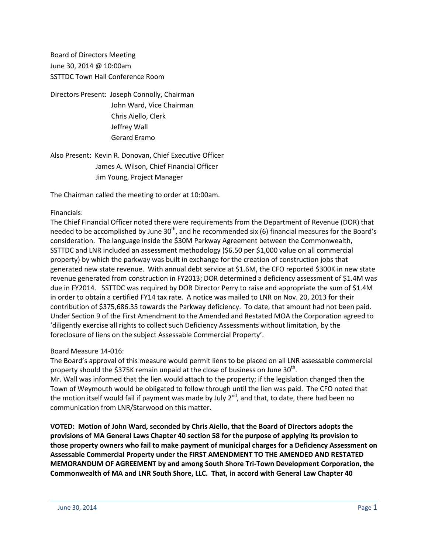Board of Directors Meeting June 30, 2014 @ 10:00am SSTTDC Town Hall Conference Room

Directors Present: Joseph Connolly, Chairman John Ward, Vice Chairman Chris Aiello, Clerk Jeffrey Wall Gerard Eramo

Also Present: Kevin R. Donovan, Chief Executive Officer James A. Wilson, Chief Financial Officer Jim Young, Project Manager

The Chairman called the meeting to order at 10:00am.

### Financials:

The Chief Financial Officer noted there were requirements from the Department of Revenue (DOR) that needed to be accomplished by June  $30<sup>th</sup>$ , and he recommended six (6) financial measures for the Board's consideration. The language inside the \$30M Parkway Agreement between the Commonwealth, SSTTDC and LNR included an assessment methodology (\$6.50 per \$1,000 value on all commercial property) by which the parkway was built in exchange for the creation of construction jobs that generated new state revenue. With annual debt service at \$1.6M, the CFO reported \$300K in new state revenue generated from construction in FY2013; DOR determined a deficiency assessment of \$1.4M was due in FY2014. SSTTDC was required by DOR Director Perry to raise and appropriate the sum of \$1.4M in order to obtain a certified FY14 tax rate. A notice was mailed to LNR on Nov. 20, 2013 for their contribution of \$375,686.35 towards the Parkway deficiency. To date, that amount had not been paid. Under Section 9 of the First Amendment to the Amended and Restated MOA the Corporation agreed to 'diligently exercise all rights to collect such Deficiency Assessments without limitation, by the foreclosure of liens on the subject Assessable Commercial Property'.

### Board Measure 14-016:

The Board's approval of this measure would permit liens to be placed on all LNR assessable commercial property should the \$375K remain unpaid at the close of business on June 30<sup>th</sup>. Mr. Wall was informed that the lien would attach to the property; if the legislation changed then the Town of Weymouth would be obligated to follow through until the lien was paid. The CFO noted that the motion itself would fail if payment was made by July 2<sup>nd</sup>, and that, to date, there had been no communication from LNR/Starwood on this matter.

**VOTED: Motion of John Ward, seconded by Chris Aiello, that the Board of Directors adopts the provisions of MA General Laws Chapter 40 section 58 for the purpose of applying its provision to those property owners who fail to make payment of municipal charges for a Deficiency Assessment on Assessable Commercial Property under the FIRST AMENDMENT TO THE AMENDED AND RESTATED MEMORANDUM OF AGREEMENT by and among South Shore Tri-Town Development Corporation, the Commonwealth of MA and LNR South Shore, LLC. That, in accord with General Law Chapter 40**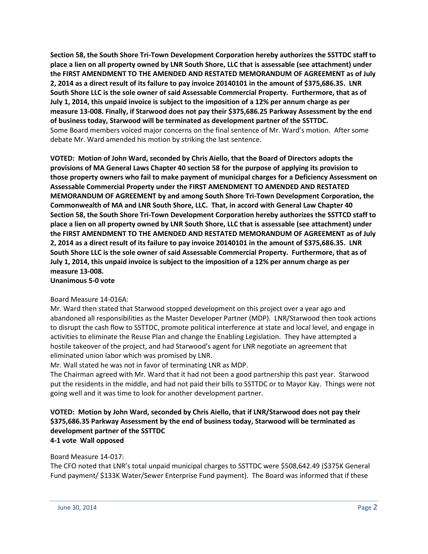**Section 58, the South Shore Tri-Town Development Corporation hereby authorizes the SSTTDC staff to place a lien on all property owned by LNR South Shore, LLC that is assessable (see attachment) under the FIRST AMENDMENT TO THE AMENDED AND RESTATED MEMORANDUM OF AGREEMENT as of July 2, 2014 as a direct result of its failure to pay invoice 20140101 in the amount of \$375,686.35. LNR South Shore LLC is the sole owner of said Assessable Commercial Property. Furthermore, that as of July 1, 2014, this unpaid invoice is subject to the imposition of a 12% per annum charge as per measure 13-008. Finally, if Starwood does not pay their \$375,686.25 Parkway Assessment by the end of business today, Starwood will be terminated as development partner of the SSTTDC.** Some Board members voiced major concerns on the final sentence of Mr. Ward's motion. After some debate Mr. Ward amended his motion by striking the last sentence.

**VOTED: Motion of John Ward, seconded by Chris Aiello, that the Board of Directors adopts the provisions of MA General Laws Chapter 40 section 58 for the purpose of applying its provision to those property owners who fail to make payment of municipal charges for a Deficiency Assessment on Assessable Commercial Property under the FIRST AMENDMENT TO AMENDED AND RESTATED MEMORANDUM OF AGREEMENT by and among South Shore Tri-Town Development Corporation, the Commonwealth of MA and LNR South Shore, LLC. That, in accord with General Law Chapter 40 Section 58, the South Shore Tri-Town Development Corporation hereby authorizes the SSTTCD staff to place a lien on all property owned by LNR South Shore, LLC that is assessable (see attachment) under the FIRST AMENDMENT TO THE AMENDED AND RESTATED MEMORANDUM OF AGREEMENT as of July 2, 2014 as a direct result of its failure to pay invoice 20140101 in the amount of \$375,686.35. LNR South Shore LLC is the sole owner of said Assessable Commercial Property. Furthermore, that as of July 1, 2014, this unpaid invoice is subject to the imposition of a 12% per annum charge as per measure 13-008.**

**Unanimous 5-0 vote**

### Board Measure 14-016A:

Mr. Ward then stated that Starwood stopped development on this project over a year ago and abandoned all responsibilities as the Master Developer Partner (MDP). LNR/Starwood then took actions to disrupt the cash flow to SSTTDC, promote political interference at state and local level, and engage in activities to eliminate the Reuse Plan and change the Enabling Legislation. They have attempted a hostile takeover of the project, and had Starwood's agent for LNR negotiate an agreement that eliminated union labor which was promised by LNR.

Mr. Wall stated he was not in favor of terminating LNR as MDP.

The Chairman agreed with Mr. Ward that it had not been a good partnership this past year. Starwood put the residents in the middle, and had not paid their bills to SSTTDC or to Mayor Kay. Things were not going well and it was time to look for another development partner.

## **VOTED: Motion by John Ward, seconded by Chris Aiello, that if LNR/Starwood does not pay their \$375,686.35 Parkway Assessment by the end of business today, Starwood will be terminated as development partner of the SSTTDC 4-1 vote Wall opposed**

### Board Measure 14-017:

The CFO noted that LNR's total unpaid municipal charges to SSTTDC were \$508,642.49 (\$375K General Fund payment/ \$133K Water/Sewer Enterprise Fund payment). The Board was informed that if these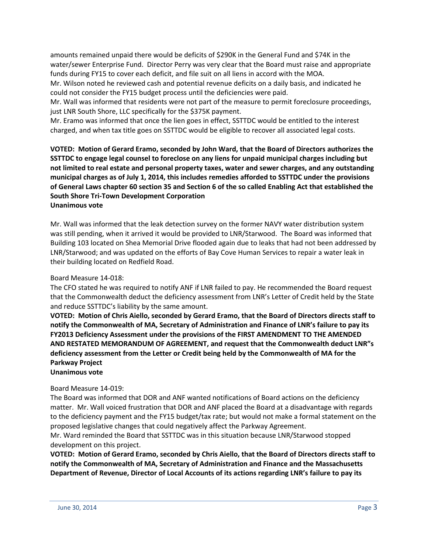amounts remained unpaid there would be deficits of \$290K in the General Fund and \$74K in the water/sewer Enterprise Fund. Director Perry was very clear that the Board must raise and appropriate funds during FY15 to cover each deficit, and file suit on all liens in accord with the MOA.

Mr. Wilson noted he reviewed cash and potential revenue deficits on a daily basis, and indicated he could not consider the FY15 budget process until the deficiencies were paid.

Mr. Wall was informed that residents were not part of the measure to permit foreclosure proceedings, just LNR South Shore, LLC specifically for the \$375K payment.

Mr. Eramo was informed that once the lien goes in effect, SSTTDC would be entitled to the interest charged, and when tax title goes on SSTTDC would be eligible to recover all associated legal costs.

**VOTED: Motion of Gerard Eramo, seconded by John Ward, that the Board of Directors authorizes the SSTTDC to engage legal counsel to foreclose on any liens for unpaid municipal charges including but not limited to real estate and personal property taxes, water and sewer charges, and any outstanding municipal charges as of July 1, 2014, this includes remedies afforded to SSTTDC under the provisions of General Laws chapter 60 section 35 and Section 6 of the so called Enabling Act that established the South Shore Tri-Town Development Corporation Unanimous vote**

Mr. Wall was informed that the leak detection survey on the former NAVY water distribution system was still pending, when it arrived it would be provided to LNR/Starwood. The Board was informed that Building 103 located on Shea Memorial Drive flooded again due to leaks that had not been addressed by LNR/Starwood; and was updated on the efforts of Bay Cove Human Services to repair a water leak in their building located on Redfield Road.

### Board Measure 14-018:

The CFO stated he was required to notify ANF if LNR failed to pay. He recommended the Board request that the Commonwealth deduct the deficiency assessment from LNR's Letter of Credit held by the State and reduce SSTTDC's liability by the same amount.

**VOTED: Motion of Chris Aiello, seconded by Gerard Eramo, that the Board of Directors directs staff to notify the Commonwealth of MA, Secretary of Administration and Finance of LNR's failure to pay its FY2013 Deficiency Assessment under the provisions of the FIRST AMENDMENT TO THE AMENDED AND RESTATED MEMORANDUM OF AGREEMENT, and request that the Commonwealth deduct LNR"s deficiency assessment from the Letter or Credit being held by the Commonwealth of MA for the Parkway Project**

**Unanimous vote**

#### Board Measure 14-019:

The Board was informed that DOR and ANF wanted notifications of Board actions on the deficiency matter. Mr. Wall voiced frustration that DOR and ANF placed the Board at a disadvantage with regards to the deficiency payment and the FY15 budget/tax rate; but would not make a formal statement on the proposed legislative changes that could negatively affect the Parkway Agreement.

Mr. Ward reminded the Board that SSTTDC was in this situation because LNR/Starwood stopped development on this project.

**VOTED: Motion of Gerard Eramo, seconded by Chris Aiello, that the Board of Directors directs staff to notify the Commonwealth of MA, Secretary of Administration and Finance and the Massachusetts Department of Revenue, Director of Local Accounts of its actions regarding LNR's failure to pay its**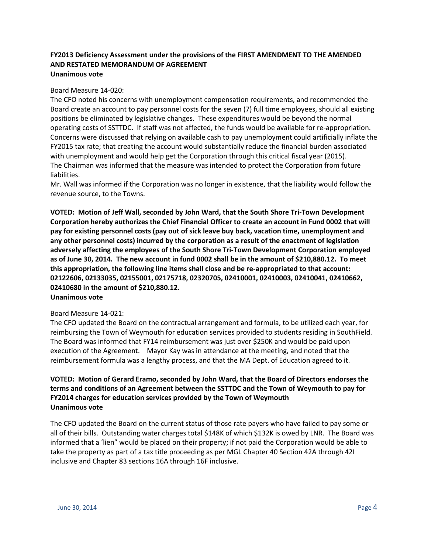### **FY2013 Deficiency Assessment under the provisions of the FIRST AMENDMENT TO THE AMENDED AND RESTATED MEMORANDUM OF AGREEMENT Unanimous vote**

### Board Measure 14-020:

The CFO noted his concerns with unemployment compensation requirements, and recommended the Board create an account to pay personnel costs for the seven (7) full time employees, should all existing positions be eliminated by legislative changes. These expenditures would be beyond the normal operating costs of SSTTDC. If staff was not affected, the funds would be available for re-appropriation. Concerns were discussed that relying on available cash to pay unemployment could artificially inflate the FY2015 tax rate; that creating the account would substantially reduce the financial burden associated with unemployment and would help get the Corporation through this critical fiscal year (2015). The Chairman was informed that the measure was intended to protect the Corporation from future liabilities.

Mr. Wall was informed if the Corporation was no longer in existence, that the liability would follow the revenue source, to the Towns.

**VOTED: Motion of Jeff Wall, seconded by John Ward, that the South Shore Tri-Town Development Corporation hereby authorizes the Chief Financial Officer to create an account in Fund 0002 that will pay for existing personnel costs (pay out of sick leave buy back, vacation time, unemployment and any other personnel costs) incurred by the corporation as a result of the enactment of legislation adversely affecting the employees of the South Shore Tri-Town Development Corporation employed as of June 30, 2014. The new account in fund 0002 shall be in the amount of \$210,880.12. To meet this appropriation, the following line items shall close and be re-appropriated to that account: 02122606, 02133035, 02155001, 02175718, 02320705, 02410001, 02410003, 02410041, 02410662, 02410680 in the amount of \$210,880.12. Unanimous vote**

#### Board Measure 14-021:

The CFO updated the Board on the contractual arrangement and formula, to be utilized each year, for reimbursing the Town of Weymouth for education services provided to students residing in SouthField. The Board was informed that FY14 reimbursement was just over \$250K and would be paid upon execution of the Agreement. Mayor Kay was in attendance at the meeting, and noted that the reimbursement formula was a lengthy process, and that the MA Dept. of Education agreed to it.

# **VOTED: Motion of Gerard Eramo, seconded by John Ward, that the Board of Directors endorses the terms and conditions of an Agreement between the SSTTDC and the Town of Weymouth to pay for FY2014 charges for education services provided by the Town of Weymouth Unanimous vote**

The CFO updated the Board on the current status of those rate payers who have failed to pay some or all of their bills. Outstanding water charges total \$148K of which \$132K is owed by LNR. The Board was informed that a 'lien" would be placed on their property; if not paid the Corporation would be able to take the property as part of a tax title proceeding as per MGL Chapter 40 Section 42A through 42I inclusive and Chapter 83 sections 16A through 16F inclusive.